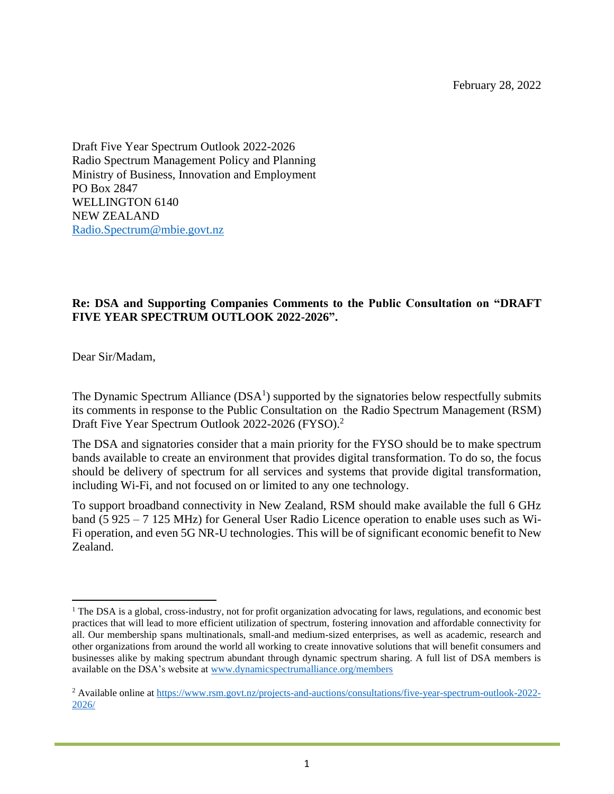February 28, 2022

Draft Five Year Spectrum Outlook 2022-2026 Radio Spectrum Management Policy and Planning Ministry of Business, Innovation and Employment PO Box 2847 WELLINGTON 6140 NEW ZEALAND [Radio.Spectrum@mbie.govt.nz](mailto:Radio.Spectrum@mbie.govt.nz)

## **Re: DSA and Supporting Companies Comments to the Public Consultation on "DRAFT FIVE YEAR SPECTRUM OUTLOOK 2022-2026".**

Dear Sir/Madam,

The Dynamic Spectrum Alliance  $(DSA<sup>1</sup>)$  supported by the signatories below respectfully submits its comments in response to the Public Consultation on the Radio Spectrum Management (RSM) Draft Five Year Spectrum Outlook 2022-2026 (FYSO). 2

The DSA and signatories consider that a main priority for the FYSO should be to make spectrum bands available to create an environment that provides digital transformation. To do so, the focus should be delivery of spectrum for all services and systems that provide digital transformation, including Wi-Fi, and not focused on or limited to any one technology.

To support broadband connectivity in New Zealand, RSM should make available the full 6 GHz band (5 925 – 7 125 MHz) for General User Radio Licence operation to enable uses such as Wi-Fi operation, and even 5G NR-U technologies. This will be of significant economic benefit to New Zealand.

<sup>&</sup>lt;sup>1</sup> The DSA is a global, cross-industry, not for profit organization advocating for laws, regulations, and economic best practices that will lead to more efficient utilization of spectrum, fostering innovation and affordable connectivity for all. Our membership spans multinationals, small-and medium-sized enterprises, as well as academic, research and other organizations from around the world all working to create innovative solutions that will benefit consumers and businesses alike by making spectrum abundant through dynamic spectrum sharing. A full list of DSA members is available on the DSA's website at [www.dynamicspectrumalliance.org/members](http://www.dynamicspectrumalliance.org/members)

<sup>2</sup> Available online at [https://www.rsm.govt.nz/projects-and-auctions/consultations/five-year-spectrum-outlook-2022-](https://www.rsm.govt.nz/projects-and-auctions/consultations/five-year-spectrum-outlook-2022-2026/) [2026/](https://www.rsm.govt.nz/projects-and-auctions/consultations/five-year-spectrum-outlook-2022-2026/)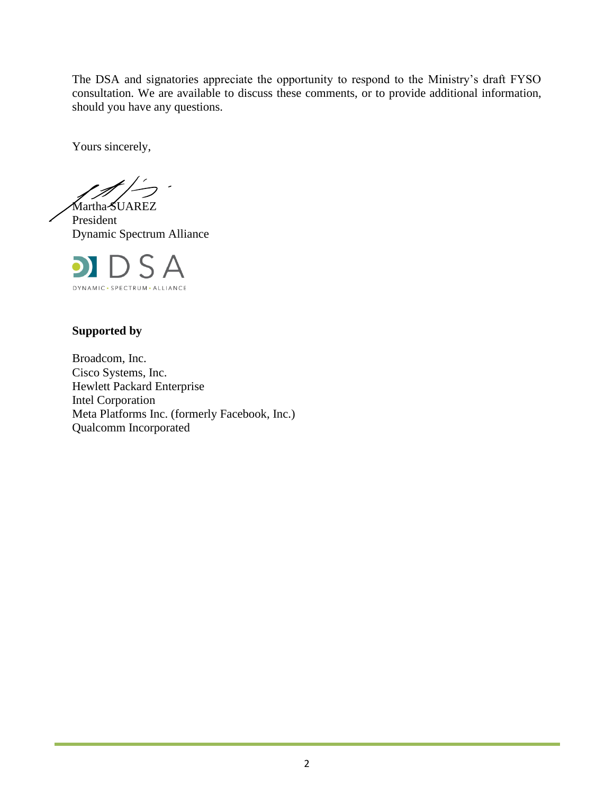The DSA and signatories appreciate the opportunity to respond to the Ministry's draft FYSO consultation. We are available to discuss these comments, or to provide additional information, should you have any questions.

Yours sincerely,

Martha-SUAREZ President Dynamic Spectrum Alliance



# **Supported by**

Broadcom, Inc. Cisco Systems, Inc. Hewlett Packard Enterprise Intel Corporation Meta Platforms Inc. (formerly Facebook, Inc.) Qualcomm Incorporated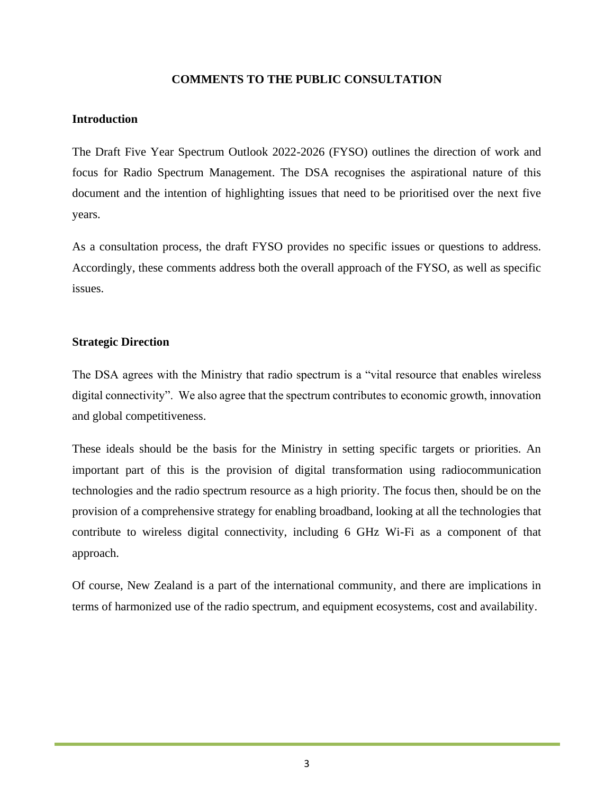## **COMMENTS TO THE PUBLIC CONSULTATION**

#### **Introduction**

The Draft Five Year Spectrum Outlook 2022-2026 (FYSO) outlines the direction of work and focus for Radio Spectrum Management. The DSA recognises the aspirational nature of this document and the intention of highlighting issues that need to be prioritised over the next five years.

As a consultation process, the draft FYSO provides no specific issues or questions to address. Accordingly, these comments address both the overall approach of the FYSO, as well as specific issues.

## **Strategic Direction**

The DSA agrees with the Ministry that radio spectrum is a "vital resource that enables wireless digital connectivity". We also agree that the spectrum contributes to economic growth, innovation and global competitiveness.

These ideals should be the basis for the Ministry in setting specific targets or priorities. An important part of this is the provision of digital transformation using radiocommunication technologies and the radio spectrum resource as a high priority. The focus then, should be on the provision of a comprehensive strategy for enabling broadband, looking at all the technologies that contribute to wireless digital connectivity, including 6 GHz Wi-Fi as a component of that approach.

Of course, New Zealand is a part of the international community, and there are implications in terms of harmonized use of the radio spectrum, and equipment ecosystems, cost and availability.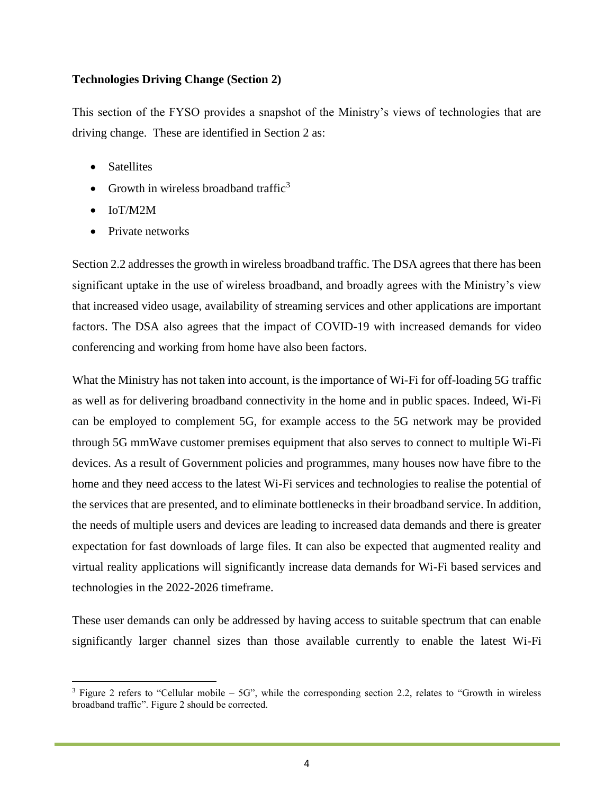## **Technologies Driving Change (Section 2)**

This section of the FYSO provides a snapshot of the Ministry's views of technologies that are driving change. These are identified in Section 2 as:

- Satellites
- Growth in wireless broadband traffic<sup>3</sup>
- IoT/M2M
- Private networks

Section 2.2 addresses the growth in wireless broadband traffic. The DSA agrees that there has been significant uptake in the use of wireless broadband, and broadly agrees with the Ministry's view that increased video usage, availability of streaming services and other applications are important factors. The DSA also agrees that the impact of COVID-19 with increased demands for video conferencing and working from home have also been factors.

What the Ministry has not taken into account, is the importance of Wi-Fi for off-loading 5G traffic as well as for delivering broadband connectivity in the home and in public spaces. Indeed, Wi-Fi can be employed to complement 5G, for example access to the 5G network may be provided through 5G mmWave customer premises equipment that also serves to connect to multiple Wi-Fi devices. As a result of Government policies and programmes, many houses now have fibre to the home and they need access to the latest Wi-Fi services and technologies to realise the potential of the services that are presented, and to eliminate bottlenecks in their broadband service. In addition, the needs of multiple users and devices are leading to increased data demands and there is greater expectation for fast downloads of large files. It can also be expected that augmented reality and virtual reality applications will significantly increase data demands for Wi-Fi based services and technologies in the 2022-2026 timeframe.

These user demands can only be addressed by having access to suitable spectrum that can enable significantly larger channel sizes than those available currently to enable the latest Wi-Fi

 $3$  Figure 2 refers to "Cellular mobile – 5G", while the corresponding section 2.2, relates to "Growth in wireless broadband traffic". Figure 2 should be corrected.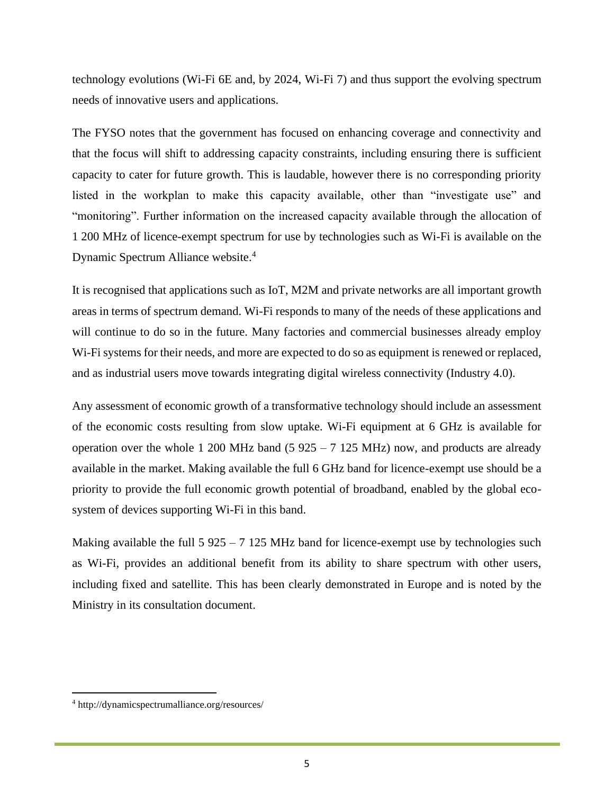technology evolutions (Wi-Fi 6E and, by 2024, Wi-Fi 7) and thus support the evolving spectrum needs of innovative users and applications.

The FYSO notes that the government has focused on enhancing coverage and connectivity and that the focus will shift to addressing capacity constraints, including ensuring there is sufficient capacity to cater for future growth. This is laudable, however there is no corresponding priority listed in the workplan to make this capacity available, other than "investigate use" and "monitoring". Further information on the increased capacity available through the allocation of 1 200 MHz of licence-exempt spectrum for use by technologies such as Wi-Fi is available on the Dynamic Spectrum Alliance website. 4

It is recognised that applications such as IoT, M2M and private networks are all important growth areas in terms of spectrum demand. Wi-Fi responds to many of the needs of these applications and will continue to do so in the future. Many factories and commercial businesses already employ Wi-Fi systems for their needs, and more are expected to do so as equipment is renewed or replaced, and as industrial users move towards integrating digital wireless connectivity (Industry 4.0).

Any assessment of economic growth of a transformative technology should include an assessment of the economic costs resulting from slow uptake. Wi-Fi equipment at 6 GHz is available for operation over the whole 1 200 MHz band (5  $925 - 7$  125 MHz) now, and products are already available in the market. Making available the full 6 GHz band for licence-exempt use should be a priority to provide the full economic growth potential of broadband, enabled by the global ecosystem of devices supporting Wi-Fi in this band.

Making available the full  $5\,925 - 7\,125$  MHz band for licence-exempt use by technologies such as Wi-Fi, provides an additional benefit from its ability to share spectrum with other users, including fixed and satellite. This has been clearly demonstrated in Europe and is noted by the Ministry in its consultation document.

<sup>4</sup> http://dynamicspectrumalliance.org/resources/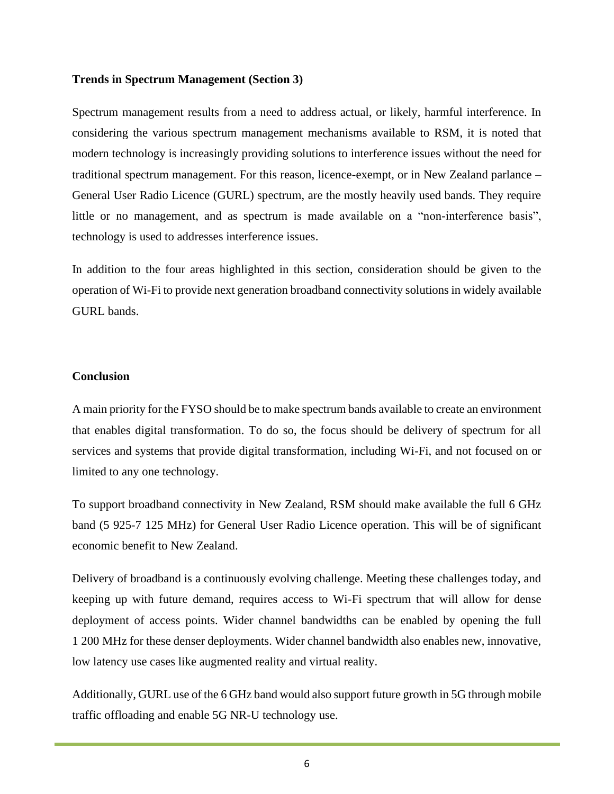#### **Trends in Spectrum Management (Section 3)**

Spectrum management results from a need to address actual, or likely, harmful interference. In considering the various spectrum management mechanisms available to RSM, it is noted that modern technology is increasingly providing solutions to interference issues without the need for traditional spectrum management. For this reason, licence-exempt, or in New Zealand parlance – General User Radio Licence (GURL) spectrum, are the mostly heavily used bands. They require little or no management, and as spectrum is made available on a "non-interference basis", technology is used to addresses interference issues.

In addition to the four areas highlighted in this section, consideration should be given to the operation of Wi-Fi to provide next generation broadband connectivity solutions in widely available GURL bands.

#### **Conclusion**

A main priority for the FYSO should be to make spectrum bands available to create an environment that enables digital transformation. To do so, the focus should be delivery of spectrum for all services and systems that provide digital transformation, including Wi-Fi, and not focused on or limited to any one technology.

To support broadband connectivity in New Zealand, RSM should make available the full 6 GHz band (5 925-7 125 MHz) for General User Radio Licence operation. This will be of significant economic benefit to New Zealand.

Delivery of broadband is a continuously evolving challenge. Meeting these challenges today, and keeping up with future demand, requires access to Wi-Fi spectrum that will allow for dense deployment of access points. Wider channel bandwidths can be enabled by opening the full 1 200 MHz for these denser deployments. Wider channel bandwidth also enables new, innovative, low latency use cases like augmented reality and virtual reality.

Additionally, GURL use of the 6 GHz band would also support future growth in 5G through mobile traffic offloading and enable 5G NR-U technology use.